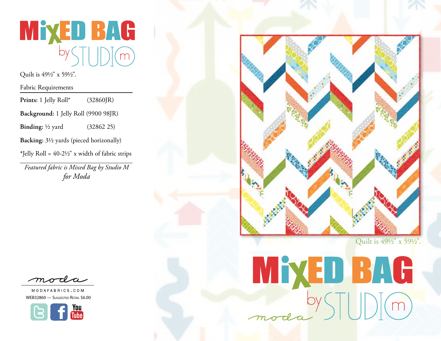

Quilt is 491/2" x 591/2".

Fabric Requirements

| Prints: 1 Jelly Roll*                                      | (32860]R)  |
|------------------------------------------------------------|------------|
| Background: 1 Jelly Roll (9900 98JR)                       |            |
| <b>Binding:</b> $\frac{1}{2}$ yard                         | (32862 25) |
| Backing: 3½ yards (pieced horizonally)                     |            |
| *Jelly Roll = $40-2\frac{1}{2}$ " x width of fabric strips |            |
|                                                            |            |

*Featured fabric is Mixed Bag by Studio M for Moda*



MODAFABRICS.COM WEB32860 - Suggested Retail \$6.00





MYDBAG<br>moda ySTUDIM

Quilt is 491/2" x 591/2".